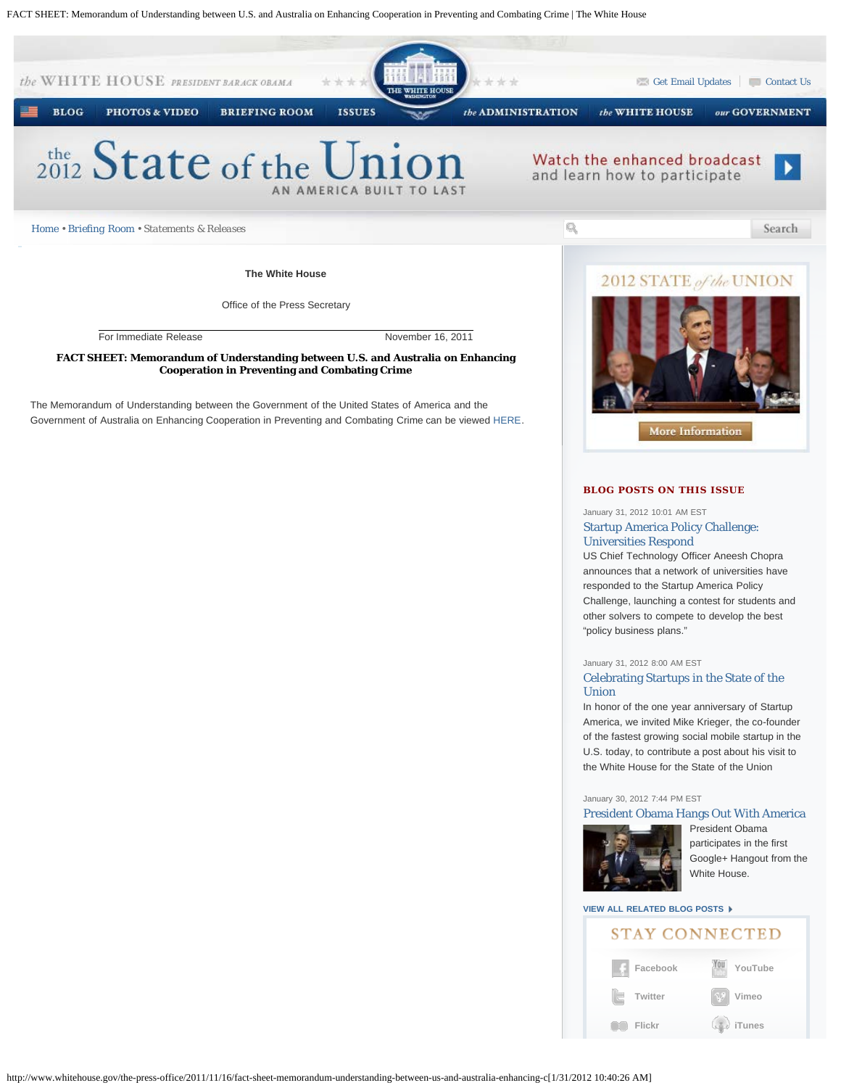FACT SHEET: Memorandum of Understanding between U.S. and Australia on Enhancing Cooperation in Preventing and Combating Crime | The White House



### January 31, 2012 8:00 AM EST [Celebrating Startups in the State of the](http://www.whitehouse.gov/blog/2012/01/31/celebrating-startups-state-union) [Union](http://www.whitehouse.gov/blog/2012/01/31/celebrating-startups-state-union)

In honor of the one year anniversary of Startup America, we invited Mike Krieger, the co-founder of the fastest growing social mobile startup in the U.S. today, to contribute a post about his visit to the White House for the State of the Union

### January 30, 2012 7:44 PM EST

### [President Obama Hangs Out With America](http://www.whitehouse.gov/blog/2012/01/30/president-obama-hangs-out-america)



[P](http://www.whitehouse.gov/blog/2012/01/30/president-obama-hangs-out-america)resident Obama participates in the first Google+ Hangout from the White House.

## **[VIEW ALL RELATED BLOG POSTS](http://www.whitehouse.gov/blog/issues/white-house)**

|  | STAY CONNECTED |
|--|----------------|
|  |                |